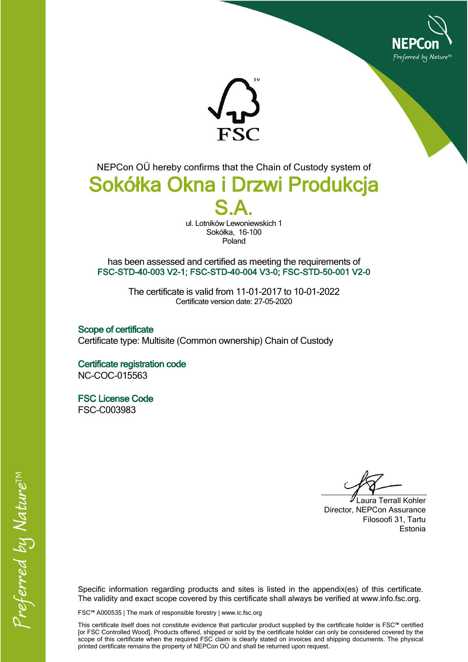



NEPCon OÜ hereby confirms that the Chain of Custody system of

## **Sokółka Okna i Drzwi Produkcja S.A.**

ul. Lotników Lewoniewskich 1 Sokółka, 16-100 Poland

has been assessed and certified as meeting the requirements of **FSC-STD-40-003 V2-1; FSC-STD-40-004 V3-0; FSC-STD-50-001 V2-0**

> The certificate is valid from 11-01-2017 to 10-01-2022 Certificate version date: 27-05-2020

**Scope of certificate** Certificate type: Multisite (Common ownership) Chain of Custody

**Certificate registration code** NC-COC-015563

**FSC License Code** FSC-C003983

Laura Terrall Kohler Director, NEPCon Assurance Filosoofi 31, Tartu Estonia

Specific information regarding products and sites is listed in the appendix(es) of this certificate. The validity and exact scope covered by this certificate shall always be verified at www.info.fsc.org.

FSC™ A000535 | The mark of responsible forestry | www.ic.fsc.org

This certificate itself does not constitute evidence that particular product supplied by the certificate holder is FSC™ certified [or FSC Controlled Wood]. Products offered, shipped or sold by the certificate holder can only be considered covered by the scope of this certificate when the required FSC claim is clearly stated on invoices and shipping documents. The physical printed certificate remains the property of NEPCon OÜ and shall be returned upon request.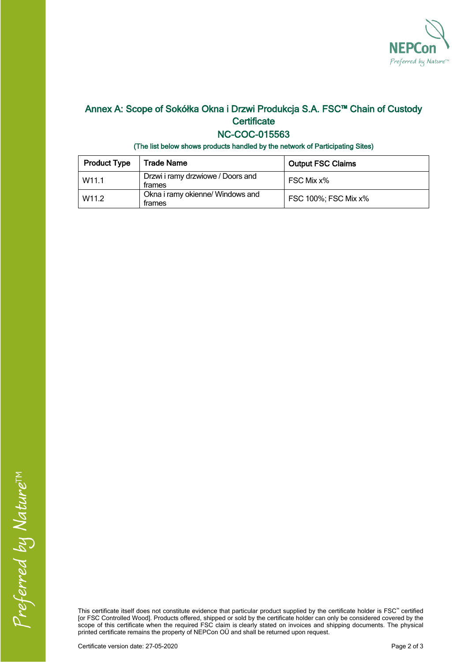

## **Annex A: Scope of Sokółka Okna i Drzwi Produkcja S.A. FSC™ Chain of Custody Certificate**

## **NC-COC-015563**

**(The list below shows products handled by the network of Participating Sites)**

| <b>Product Type</b> | <b>Trade Name</b>                           | <b>Output FSC Claims</b> |
|---------------------|---------------------------------------------|--------------------------|
| W <sub>11.1</sub>   | Drzwi i ramy drzwiowe / Doors and<br>trames | FSC Mix x%               |
| W <sub>11.2</sub>   | Okna i ramy okienne/ Windows and<br>trames  | FSC 100%; FSC Mix x%     |

This certificate itself does not constitute evidence that particular product supplied by the certificate holder is FSC™ certified [or FSC Controlled Wood]. Products offered, shipped or sold by the certificate holder can only be considered covered by the scope of this certificate when the required FSC claim is clearly stated on invoices and shipping documents. The physical printed certificate remains the property of NEPCon OÜ and shall be returned upon request.